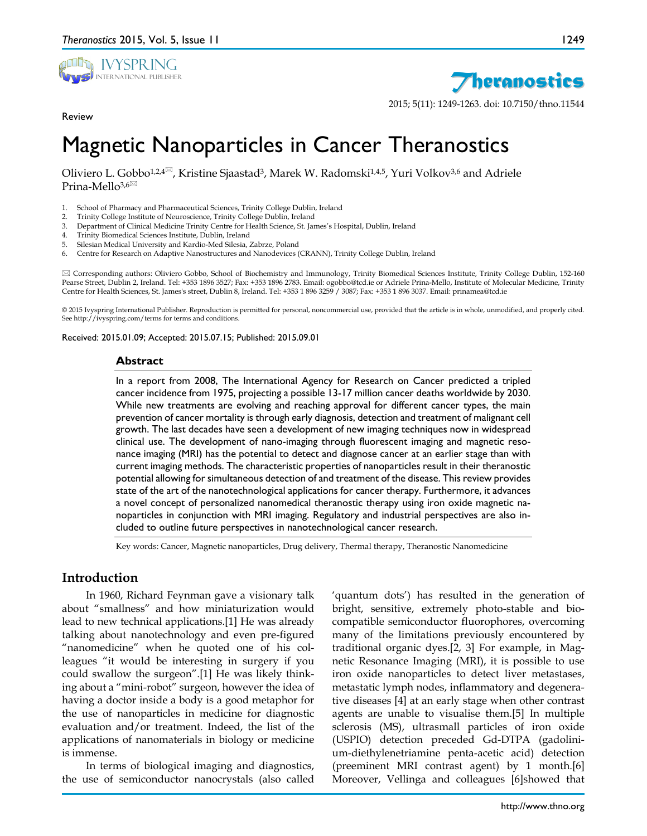

Review



2015; 5(11): 1249-1263. doi: 10.7150/thno.11544

# Magnetic Nanoparticles in Cancer Theranostics

Oliviero L. Gobbo<sup>1,2,4</sub><sup> $\boxtimes$ </sup>, Kristine Sjaastad<sup>3</sup>, Marek W. Radomski<sup>1,4,5</sup>, Yuri Volkov<sup>3,6</sup> and Adriele</sup> Prina-Mello<sup>3,6⊠</sup>

- 1. School of Pharmacy and Pharmaceutical Sciences, Trinity College Dublin, Ireland
- 2. Trinity College Institute of Neuroscience, Trinity College Dublin, Ireland<br>3. Department of Clinical Medicine Trinity Centre for Health Science, St. Jay 3. Department of Clinical Medicine Trinity Centre for Health Science, St. James's Hospital, Dublin, Ireland
- 4. Trinity Biomedical Sciences Institute, Dublin, Ireland
- 5. Silesian Medical University and Kardio-Med Silesia, Zabrze, Poland
- 6. Centre for Research on Adaptive Nanostructures and Nanodevices (CRANN), Trinity College Dublin, Ireland

 $\boxtimes$  Corresponding authors: Oliviero Gobbo, School of Biochemistry and Immunology, Trinity Biomedical Sciences Institute, Trinity College Dublin, 152-160 Pearse Street, Dublin 2, Ireland. Tel: +353 1896 3527; Fax: +353 1896 2783. Email: ogobbo@tcd.ie or Adriele Prina-Mello, Institute of Molecular Medicine, Trinity Centre for Health Sciences, St. James's street, Dublin 8, Ireland. Tel: +353 1 896 3259 / 3087; Fax: +353 1 896 3037. Email: prinamea@tcd.ie

© 2015 Ivyspring International Publisher. Reproduction is permitted for personal, noncommercial use, provided that the article is in whole, unmodified, and properly cited. See http://ivyspring.com/terms for terms and conditions.

Received: 2015.01.09; Accepted: 2015.07.15; Published: 2015.09.01

#### **Abstract**

In a report from 2008, The International Agency for Research on Cancer predicted a tripled cancer incidence from 1975, projecting a possible 13-17 million cancer deaths worldwide by 2030. While new treatments are evolving and reaching approval for different cancer types, the main prevention of cancer mortality is through early diagnosis, detection and treatment of malignant cell growth. The last decades have seen a development of new imaging techniques now in widespread clinical use. The development of nano-imaging through fluorescent imaging and magnetic resonance imaging (MRI) has the potential to detect and diagnose cancer at an earlier stage than with current imaging methods. The characteristic properties of nanoparticles result in their theranostic potential allowing for simultaneous detection of and treatment of the disease. This review provides state of the art of the nanotechnological applications for cancer therapy. Furthermore, it advances a novel concept of personalized nanomedical theranostic therapy using iron oxide magnetic nanoparticles in conjunction with MRI imaging. Regulatory and industrial perspectives are also included to outline future perspectives in nanotechnological cancer research.

Key words: Cancer, Magnetic nanoparticles, Drug delivery, Thermal therapy, Theranostic Nanomedicine

## **Introduction**

In 1960, Richard Feynman gave a visionary talk about "smallness" and how miniaturization would lead to new technical applications.[1] He was already talking about nanotechnology and even pre-figured "nanomedicine" when he quoted one of his colleagues "it would be interesting in surgery if you could swallow the surgeon".[1] He was likely thinking about a "mini-robot" surgeon, however the idea of having a doctor inside a body is a good metaphor for the use of nanoparticles in medicine for diagnostic evaluation and/or treatment. Indeed, the list of the applications of nanomaterials in biology or medicine is immense.

In terms of biological imaging and diagnostics, the use of semiconductor nanocrystals (also called

'quantum dots') has resulted in the generation of bright, sensitive, extremely photo-stable and biocompatible semiconductor fluorophores, overcoming many of the limitations previously encountered by traditional organic dyes.[2, 3] For example, in Magnetic Resonance Imaging (MRI), it is possible to use iron oxide nanoparticles to detect liver metastases, metastatic lymph nodes, inflammatory and degenerative diseases [4] at an early stage when other contrast agents are unable to visualise them.[5] In multiple sclerosis (MS), ultrasmall particles of iron oxide (USPIO) detection preceded Gd-DTPA (gadolinium-diethylenetriamine penta-acetic acid) detection (preeminent MRI contrast agent) by 1 month.[6] Moreover, Vellinga and colleagues [6]showed that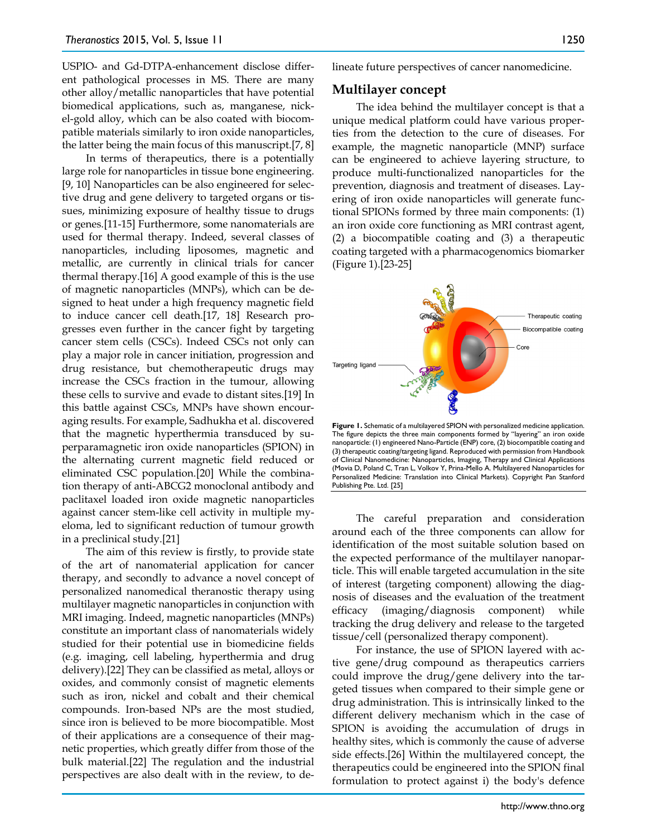USPIO- and Gd-DTPA-enhancement disclose different pathological processes in MS. There are many other alloy/metallic nanoparticles that have potential biomedical applications, such as, manganese, nickel-gold alloy, which can be also coated with biocompatible materials similarly to iron oxide nanoparticles, the latter being the main focus of this manuscript.[7, 8]

In terms of therapeutics, there is a potentially large role for nanoparticles in tissue bone engineering. [9, 10] Nanoparticles can be also engineered for selective drug and gene delivery to targeted organs or tissues, minimizing exposure of healthy tissue to drugs or genes.[11-15] Furthermore, some nanomaterials are used for thermal therapy. Indeed, several classes of nanoparticles, including liposomes, magnetic and metallic, are currently in clinical trials for cancer thermal therapy.[16] A good example of this is the use of magnetic nanoparticles (MNPs), which can be designed to heat under a high frequency magnetic field to induce cancer cell death.[17, 18] Research progresses even further in the cancer fight by targeting cancer stem cells (CSCs). Indeed CSCs not only can play a major role in cancer initiation, progression and drug resistance, but chemotherapeutic drugs may increase the CSCs fraction in the tumour, allowing these cells to survive and evade to distant sites.[19] In this battle against CSCs, MNPs have shown encouraging results. For example, Sadhukha et al. discovered that the magnetic hyperthermia transduced by superparamagnetic iron oxide nanoparticles (SPION) in the alternating current magnetic field reduced or eliminated CSC population.[20] While the combination therapy of anti-ABCG2 monoclonal antibody and paclitaxel loaded iron oxide magnetic nanoparticles against cancer stem-like cell activity in multiple myeloma, led to significant reduction of tumour growth in a preclinical study.[21]

The aim of this review is firstly, to provide state of the art of nanomaterial application for cancer therapy, and secondly to advance a novel concept of personalized nanomedical theranostic therapy using multilayer magnetic nanoparticles in conjunction with MRI imaging. Indeed, magnetic nanoparticles (MNPs) constitute an important class of nanomaterials widely studied for their potential use in biomedicine fields (e.g. imaging, cell labeling, hyperthermia and drug delivery).[22] They can be classified as metal, alloys or oxides, and commonly consist of magnetic elements such as iron, nickel and cobalt and their chemical compounds. Iron-based NPs are the most studied, since iron is believed to be more biocompatible. Most of their applications are a consequence of their magnetic properties, which greatly differ from those of the bulk material.[22] The regulation and the industrial perspectives are also dealt with in the review, to delineate future perspectives of cancer nanomedicine.

#### **Multilayer concept**

The idea behind the multilayer concept is that a unique medical platform could have various properties from the detection to the cure of diseases. For example, the magnetic nanoparticle (MNP) surface can be engineered to achieve layering structure, to produce multi-functionalized nanoparticles for the prevention, diagnosis and treatment of diseases. Layering of iron oxide nanoparticles will generate functional SPIONs formed by three main components: (1) an iron oxide core functioning as MRI contrast agent, (2) a biocompatible coating and (3) a therapeutic coating targeted with a pharmacogenomics biomarker (Figure 1).[23-25]



**Figure 1.** Schematic of a multilayered SPION with personalized medicine application. The figure depicts the three main components formed by "layering" an iron oxide nanoparticle: (1) engineered Nano-Particle (ENP) core, (2) biocompatible coating and (3) therapeutic coating/targeting ligand. Reproduced with permission from Handbook of Clinical Nanomedicine: Nanoparticles, Imaging, Therapy and Clinical Applications (Movia D, Poland C, Tran L, Volkov Y, Prina-Mello A. Multilayered Nanoparticles for Personalized Medicine: Translation into Clinical Markets). Copyright Pan Stanford Publishing Pte. Ltd. [25]

The careful preparation and consideration around each of the three components can allow for identification of the most suitable solution based on the expected performance of the multilayer nanoparticle. This will enable targeted accumulation in the site of interest (targeting component) allowing the diagnosis of diseases and the evaluation of the treatment efficacy (imaging/diagnosis component) while tracking the drug delivery and release to the targeted tissue/cell (personalized therapy component).

For instance, the use of SPION layered with active gene/drug compound as therapeutics carriers could improve the drug/gene delivery into the targeted tissues when compared to their simple gene or drug administration. This is intrinsically linked to the different delivery mechanism which in the case of SPION is avoiding the accumulation of drugs in healthy sites, which is commonly the cause of adverse side effects.[26] Within the multilayered concept, the therapeutics could be engineered into the SPION final formulation to protect against i) the body's defence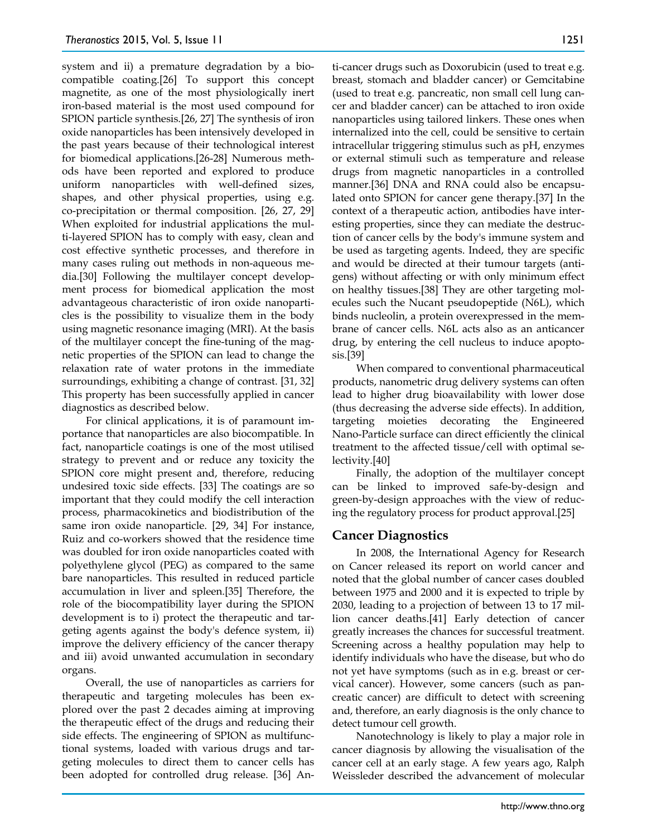system and ii) a premature degradation by a biocompatible coating.[26] To support this concept magnetite, as one of the most physiologically inert iron-based material is the most used compound for SPION particle synthesis.[26, 27] The synthesis of iron oxide nanoparticles has been intensively developed in the past years because of their technological interest for biomedical applications.[26-28] Numerous methods have been reported and explored to produce uniform nanoparticles with well-defined sizes, shapes, and other physical properties, using e.g. co-precipitation or thermal composition. [26, 27, 29] When exploited for industrial applications the multi-layered SPION has to comply with easy, clean and cost effective synthetic processes, and therefore in many cases ruling out methods in non-aqueous media.[30] Following the multilayer concept development process for biomedical application the most advantageous characteristic of iron oxide nanoparticles is the possibility to visualize them in the body using magnetic resonance imaging (MRI). At the basis of the multilayer concept the fine-tuning of the magnetic properties of the SPION can lead to change the relaxation rate of water protons in the immediate surroundings, exhibiting a change of contrast. [31, 32] This property has been successfully applied in cancer diagnostics as described below.

For clinical applications, it is of paramount importance that nanoparticles are also biocompatible. In fact, nanoparticle coatings is one of the most utilised strategy to prevent and or reduce any toxicity the SPION core might present and, therefore, reducing undesired toxic side effects. [33] The coatings are so important that they could modify the cell interaction process, pharmacokinetics and biodistribution of the same iron oxide nanoparticle. [29, 34] For instance, Ruiz and co-workers showed that the residence time was doubled for iron oxide nanoparticles coated with polyethylene glycol (PEG) as compared to the same bare nanoparticles. This resulted in reduced particle accumulation in liver and spleen.[35] Therefore, the role of the biocompatibility layer during the SPION development is to i) protect the therapeutic and targeting agents against the body's defence system, ii) improve the delivery efficiency of the cancer therapy and iii) avoid unwanted accumulation in secondary organs.

Overall, the use of nanoparticles as carriers for therapeutic and targeting molecules has been explored over the past 2 decades aiming at improving the therapeutic effect of the drugs and reducing their side effects. The engineering of SPION as multifunctional systems, loaded with various drugs and targeting molecules to direct them to cancer cells has been adopted for controlled drug release. [36] Anti-cancer drugs such as Doxorubicin (used to treat e.g. breast, stomach and bladder cancer) or Gemcitabine (used to treat e.g. pancreatic, non small cell lung cancer and bladder cancer) can be attached to iron oxide nanoparticles using tailored linkers. These ones when internalized into the cell, could be sensitive to certain intracellular triggering stimulus such as pH, enzymes or external stimuli such as temperature and release drugs from magnetic nanoparticles in a controlled manner.[36] DNA and RNA could also be encapsulated onto SPION for cancer gene therapy.[37] In the context of a therapeutic action, antibodies have interesting properties, since they can mediate the destruction of cancer cells by the body's immune system and be used as targeting agents. Indeed, they are specific and would be directed at their tumour targets (antigens) without affecting or with only minimum effect on healthy tissues.[38] They are other targeting molecules such the Nucant pseudopeptide (N6L), which binds nucleolin, a protein overexpressed in the membrane of cancer cells. N6L acts also as an anticancer drug, by entering the cell nucleus to induce apoptosis.[39]

When compared to conventional pharmaceutical products, nanometric drug delivery systems can often lead to higher drug bioavailability with lower dose (thus decreasing the adverse side effects). In addition, targeting moieties decorating the Engineered Nano-Particle surface can direct efficiently the clinical treatment to the affected tissue/cell with optimal selectivity.[40]

Finally, the adoption of the multilayer concept can be linked to improved safe-by-design and green-by-design approaches with the view of reducing the regulatory process for product approval.[25]

## **Cancer Diagnostics**

In 2008, the International Agency for Research on Cancer released its report on world cancer and noted that the global number of cancer cases doubled between 1975 and 2000 and it is expected to triple by 2030, leading to a projection of between 13 to 17 million cancer deaths.[41] Early detection of cancer greatly increases the chances for successful treatment. Screening across a healthy population may help to identify individuals who have the disease, but who do not yet have symptoms (such as in e.g. breast or cervical cancer). However, some cancers (such as pancreatic cancer) are difficult to detect with screening and, therefore, an early diagnosis is the only chance to detect tumour cell growth.

Nanotechnology is likely to play a major role in cancer diagnosis by allowing the visualisation of the cancer cell at an early stage. A few years ago, Ralph Weissleder described the advancement of molecular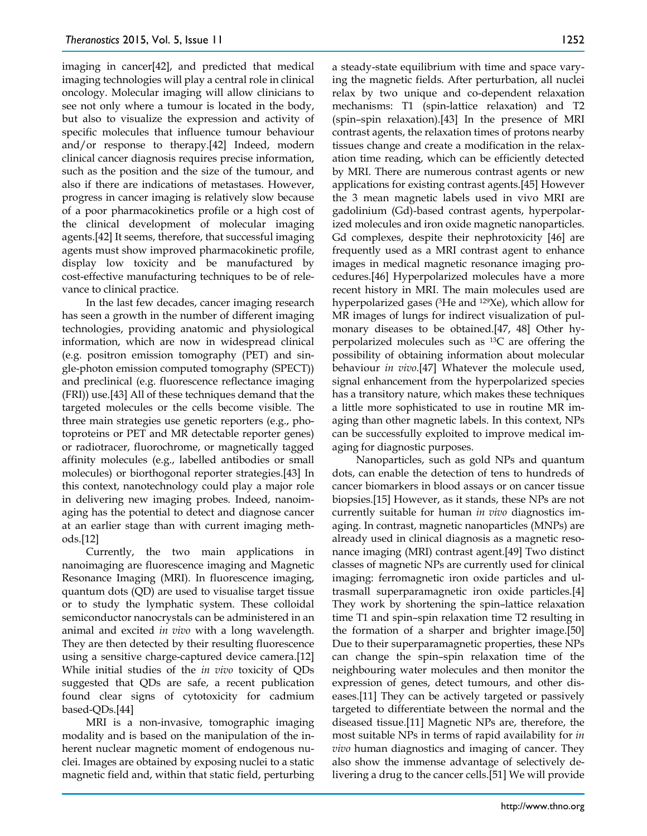imaging in cancer[42], and predicted that medical imaging technologies will play a central role in clinical oncology. Molecular imaging will allow clinicians to see not only where a tumour is located in the body, but also to visualize the expression and activity of specific molecules that influence tumour behaviour and/or response to therapy.[42] Indeed, modern clinical cancer diagnosis requires precise information, such as the position and the size of the tumour, and also if there are indications of metastases. However, progress in cancer imaging is relatively slow because of a poor pharmacokinetics profile or a high cost of the clinical development of molecular imaging agents.[42] It seems, therefore, that successful imaging agents must show improved pharmacokinetic profile, display low toxicity and be manufactured by cost-effective manufacturing techniques to be of relevance to clinical practice.

In the last few decades, cancer imaging research has seen a growth in the number of different imaging technologies, providing anatomic and physiological information, which are now in widespread clinical (e.g. positron emission tomography (PET) and single-photon emission computed tomography (SPECT)) and preclinical (e.g. fluorescence reflectance imaging (FRI)) use.[43] All of these techniques demand that the targeted molecules or the cells become visible. The three main strategies use genetic reporters (e.g., photoproteins or PET and MR detectable reporter genes) or radiotracer, fluorochrome, or magnetically tagged affinity molecules (e.g., labelled antibodies or small molecules) or biorthogonal reporter strategies.[43] In this context, nanotechnology could play a major role in delivering new imaging probes. Indeed, nanoimaging has the potential to detect and diagnose cancer at an earlier stage than with current imaging methods.[12]

Currently, the two main applications in nanoimaging are fluorescence imaging and Magnetic Resonance Imaging (MRI). In fluorescence imaging, quantum dots (QD) are used to visualise target tissue or to study the lymphatic system. These colloidal semiconductor nanocrystals can be administered in an animal and excited *in vivo* with a long wavelength. They are then detected by their resulting fluorescence using a sensitive charge-captured device camera.[12] While initial studies of the *in vivo* toxicity of QDs suggested that QDs are safe, a recent publication found clear signs of cytotoxicity for cadmium based-QDs.[44]

MRI is a non-invasive, tomographic imaging modality and is based on the manipulation of the inherent nuclear magnetic moment of endogenous nuclei. Images are obtained by exposing nuclei to a static magnetic field and, within that static field, perturbing

a steady-state equilibrium with time and space varying the magnetic fields. After perturbation, all nuclei relax by two unique and co-dependent relaxation mechanisms: T1 (spin-lattice relaxation) and T2 (spin–spin relaxation).[43] In the presence of MRI contrast agents, the relaxation times of protons nearby tissues change and create a modification in the relaxation time reading, which can be efficiently detected by MRI. There are numerous contrast agents or new applications for existing contrast agents.[45] However the 3 mean magnetic labels used in vivo MRI are gadolinium (Gd)-based contrast agents, hyperpolarized molecules and iron oxide magnetic nanoparticles. Gd complexes, despite their nephrotoxicity [46] are frequently used as a MRI contrast agent to enhance images in medical magnetic resonance imaging procedures.[46] Hyperpolarized molecules have a more recent history in MRI. The main molecules used are hyperpolarized gases (3He and 129Xe), which allow for MR images of lungs for indirect visualization of pulmonary diseases to be obtained.[47, 48] Other hyperpolarized molecules such as 13C are offering the possibility of obtaining information about molecular behaviour *in vivo*.[47] Whatever the molecule used, signal enhancement from the hyperpolarized species has a transitory nature, which makes these techniques a little more sophisticated to use in routine MR imaging than other magnetic labels. In this context, NPs can be successfully exploited to improve medical imaging for diagnostic purposes.

Nanoparticles, such as gold NPs and quantum dots, can enable the detection of tens to hundreds of cancer biomarkers in blood assays or on cancer tissue biopsies.[15] However, as it stands, these NPs are not currently suitable for human *in vivo* diagnostics imaging. In contrast, magnetic nanoparticles (MNPs) are already used in clinical diagnosis as a magnetic resonance imaging (MRI) contrast agent.[49] Two distinct classes of magnetic NPs are currently used for clinical imaging: ferromagnetic iron oxide particles and ultrasmall superparamagnetic iron oxide particles.[4] They work by shortening the spin–lattice relaxation time T1 and spin–spin relaxation time T2 resulting in the formation of a sharper and brighter image.[50] Due to their superparamagnetic properties, these NPs can change the spin–spin relaxation time of the neighbouring water molecules and then monitor the expression of genes, detect tumours, and other diseases.[11] They can be actively targeted or passively targeted to differentiate between the normal and the diseased tissue.[11] Magnetic NPs are, therefore, the most suitable NPs in terms of rapid availability for *in vivo* human diagnostics and imaging of cancer. They also show the immense advantage of selectively delivering a drug to the cancer cells.[51] We will provide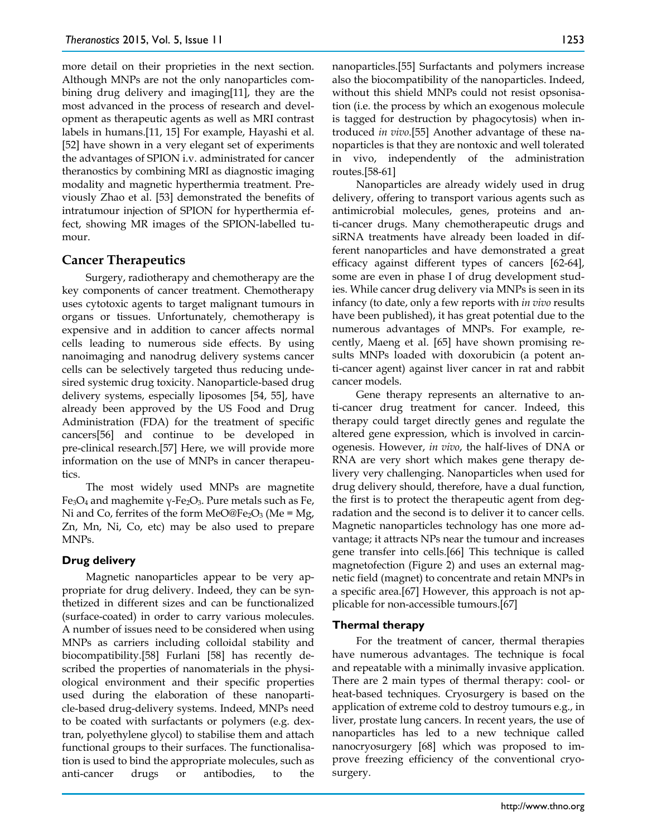more detail on their proprieties in the next section. Although MNPs are not the only nanoparticles combining drug delivery and imaging[11], they are the most advanced in the process of research and development as therapeutic agents as well as MRI contrast labels in humans.[11, 15] For example, Hayashi et al. [52] have shown in a very elegant set of experiments the advantages of SPION i.v. administrated for cancer theranostics by combining MRI as diagnostic imaging modality and magnetic hyperthermia treatment. Previously Zhao et al. [53] demonstrated the benefits of intratumour injection of SPION for hyperthermia effect, showing MR images of the SPION-labelled tumour.

## **Cancer Therapeutics**

Surgery, radiotherapy and chemotherapy are the key components of cancer treatment. Chemotherapy uses cytotoxic agents to target malignant tumours in organs or tissues. Unfortunately, chemotherapy is expensive and in addition to cancer affects normal cells leading to numerous side effects. By using nanoimaging and nanodrug delivery systems cancer cells can be selectively targeted thus reducing undesired systemic drug toxicity. Nanoparticle-based drug delivery systems, especially liposomes [54, 55], have already been approved by the US Food and Drug Administration (FDA) for the treatment of specific cancers[56] and continue to be developed in pre-clinical research.[57] Here, we will provide more information on the use of MNPs in cancer therapeutics.

The most widely used MNPs are magnetite Fe<sub>3</sub>O<sub>4</sub> and maghemite γ-Fe<sub>2</sub>O<sub>3</sub>. Pure metals such as Fe, Ni and Co, ferrites of the form  $MeO@Fe<sub>2</sub>O<sub>3</sub>$  (Me = Mg, Zn, Mn, Ni, Co, etc) may be also used to prepare MNPs.

## **Drug delivery**

Magnetic nanoparticles appear to be very appropriate for drug delivery. Indeed, they can be synthetized in different sizes and can be functionalized (surface-coated) in order to carry various molecules. A number of issues need to be considered when using MNPs as carriers including colloidal stability and biocompatibility.[58] Furlani [58] has recently described the properties of nanomaterials in the physiological environment and their specific properties used during the elaboration of these nanoparticle-based drug-delivery systems. Indeed, MNPs need to be coated with surfactants or polymers (e.g. dextran, polyethylene glycol) to stabilise them and attach functional groups to their surfaces. The functionalisation is used to bind the appropriate molecules, such as anti-cancer drugs or antibodies, to the

nanoparticles.[55] Surfactants and polymers increase also the biocompatibility of the nanoparticles. Indeed, without this shield MNPs could not resist opsonisation (i.e. the process by which an exogenous molecule is tagged for destruction by phagocytosis) when introduced *in vivo*.[55] Another advantage of these nanoparticles is that they are nontoxic and well tolerated in vivo, independently of the administration routes.[58-61]

Nanoparticles are already widely used in drug delivery, offering to transport various agents such as antimicrobial molecules, genes, proteins and anti-cancer drugs. Many chemotherapeutic drugs and siRNA treatments have already been loaded in different nanoparticles and have demonstrated a great efficacy against different types of cancers [62-64], some are even in phase I of drug development studies. While cancer drug delivery via MNPs is seen in its infancy (to date, only a few reports with *in vivo* results have been published), it has great potential due to the numerous advantages of MNPs. For example, recently, Maeng et al. [65] have shown promising results MNPs loaded with doxorubicin (a potent anti-cancer agent) against liver cancer in rat and rabbit cancer models.

Gene therapy represents an alternative to anti-cancer drug treatment for cancer. Indeed, this therapy could target directly genes and regulate the altered gene expression, which is involved in carcinogenesis. However, *in vivo*, the half-lives of DNA or RNA are very short which makes gene therapy delivery very challenging. Nanoparticles when used for drug delivery should, therefore, have a dual function, the first is to protect the therapeutic agent from degradation and the second is to deliver it to cancer cells. Magnetic nanoparticles technology has one more advantage; it attracts NPs near the tumour and increases gene transfer into cells.[66] This technique is called magnetofection (Figure 2) and uses an external magnetic field (magnet) to concentrate and retain MNPs in a specific area.[67] However, this approach is not applicable for non-accessible tumours.[67]

## **Thermal therapy**

For the treatment of cancer, thermal therapies have numerous advantages. The technique is focal and repeatable with a minimally invasive application. There are 2 main types of thermal therapy: cool- or heat-based techniques. Cryosurgery is based on the application of extreme cold to destroy tumours e.g., in liver, prostate lung cancers. In recent years, the use of nanoparticles has led to a new technique called nanocryosurgery [68] which was proposed to improve freezing efficiency of the conventional cryosurgery.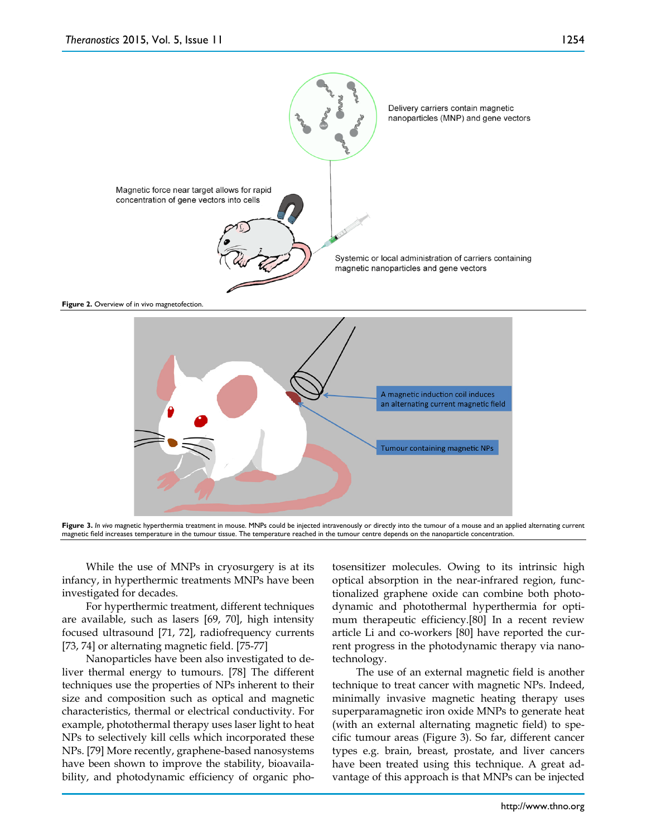

#### **Figure 2.** Overview of in vivo magnetofection.





While the use of MNPs in cryosurgery is at its infancy, in hyperthermic treatments MNPs have been investigated for decades.

For hyperthermic treatment, different techniques are available, such as lasers [69, 70], high intensity focused ultrasound [71, 72], radiofrequency currents [73, 74] or alternating magnetic field. [75-77]

Nanoparticles have been also investigated to deliver thermal energy to tumours. [78] The different techniques use the properties of NPs inherent to their size and composition such as optical and magnetic characteristics, thermal or electrical conductivity. For example, photothermal therapy uses laser light to heat NPs to selectively kill cells which incorporated these NPs. [79] More recently, graphene-based nanosystems have been shown to improve the stability, bioavailability, and photodynamic efficiency of organic photosensitizer molecules. Owing to its intrinsic high optical absorption in the near-infrared region, functionalized graphene oxide can combine both photodynamic and photothermal hyperthermia for optimum therapeutic efficiency.[80] In a recent review article Li and co-workers [80] have reported the current progress in the photodynamic therapy via nanotechnology.

The use of an external magnetic field is another technique to treat cancer with magnetic NPs. Indeed, minimally invasive magnetic heating therapy uses superparamagnetic iron oxide MNPs to generate heat (with an external alternating magnetic field) to specific tumour areas (Figure 3). So far, different cancer types e.g. brain, breast, prostate, and liver cancers have been treated using this technique. A great advantage of this approach is that MNPs can be injected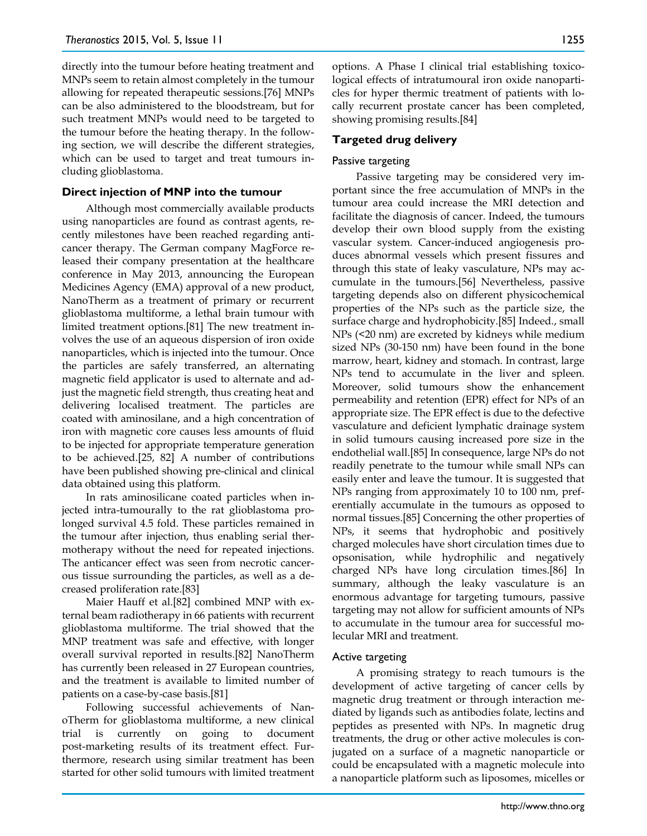directly into the tumour before heating treatment and MNPs seem to retain almost completely in the tumour allowing for repeated therapeutic sessions.[76] MNPs can be also administered to the bloodstream, but for such treatment MNPs would need to be targeted to the tumour before the heating therapy. In the following section, we will describe the different strategies, which can be used to target and treat tumours including glioblastoma.

### **Direct injection of MNP into the tumour**

Although most commercially available products using nanoparticles are found as contrast agents, recently milestones have been reached regarding anticancer therapy. The German company MagForce released their company presentation at the healthcare conference in May 2013, announcing the European Medicines Agency (EMA) approval of a new product, NanoTherm as a treatment of primary or recurrent glioblastoma multiforme, a lethal brain tumour with limited treatment options.[81] The new treatment involves the use of an aqueous dispersion of iron oxide nanoparticles, which is injected into the tumour. Once the particles are safely transferred, an alternating magnetic field applicator is used to alternate and adjust the magnetic field strength, thus creating heat and delivering localised treatment. The particles are coated with aminosilane, and a high concentration of iron with magnetic core causes less amounts of fluid to be injected for appropriate temperature generation to be achieved.[25, 82] A number of contributions have been published showing pre-clinical and clinical data obtained using this platform.

In rats aminosilicane coated particles when injected intra-tumourally to the rat glioblastoma prolonged survival 4.5 fold. These particles remained in the tumour after injection, thus enabling serial thermotherapy without the need for repeated injections. The anticancer effect was seen from necrotic cancerous tissue surrounding the particles, as well as a decreased proliferation rate.[83]

Maier Hauff et al.[82] combined MNP with external beam radiotherapy in 66 patients with recurrent glioblastoma multiforme. The trial showed that the MNP treatment was safe and effective, with longer overall survival reported in results.[82] NanoTherm has currently been released in 27 European countries, and the treatment is available to limited number of patients on a case-by-case basis.[81]

Following successful achievements of NanoTherm for glioblastoma multiforme, a new clinical trial is currently on going to document post-marketing results of its treatment effect. Furthermore, research using similar treatment has been started for other solid tumours with limited treatment

options. A Phase I clinical trial establishing toxicological effects of intratumoural iron oxide nanoparticles for hyper thermic treatment of patients with locally recurrent prostate cancer has been completed, showing promising results.[84]

## **Targeted drug delivery**

## Passive targeting

Passive targeting may be considered very important since the free accumulation of MNPs in the tumour area could increase the MRI detection and facilitate the diagnosis of cancer. Indeed, the tumours develop their own blood supply from the existing vascular system. Cancer-induced angiogenesis produces abnormal vessels which present fissures and through this state of leaky vasculature, NPs may accumulate in the tumours.[56] Nevertheless, passive targeting depends also on different physicochemical properties of the NPs such as the particle size, the surface charge and hydrophobicity.[85] Indeed., small NPs (<20 nm) are excreted by kidneys while medium sized NPs (30-150 nm) have been found in the bone marrow, heart, kidney and stomach. In contrast, large NPs tend to accumulate in the liver and spleen. Moreover, solid tumours show the enhancement permeability and retention (EPR) effect for NPs of an appropriate size. The EPR effect is due to the defective vasculature and deficient lymphatic drainage system in solid tumours causing increased pore size in the endothelial wall.[85] In consequence, large NPs do not readily penetrate to the tumour while small NPs can easily enter and leave the tumour. It is suggested that NPs ranging from approximately 10 to 100 nm, preferentially accumulate in the tumours as opposed to normal tissues.[85] Concerning the other properties of NPs, it seems that hydrophobic and positively charged molecules have short circulation times due to opsonisation, while hydrophilic and negatively charged NPs have long circulation times.[86] In summary, although the leaky vasculature is an enormous advantage for targeting tumours, passive targeting may not allow for sufficient amounts of NPs to accumulate in the tumour area for successful molecular MRI and treatment.

## Active targeting

A promising strategy to reach tumours is the development of active targeting of cancer cells by magnetic drug treatment or through interaction mediated by ligands such as antibodies folate, lectins and peptides as presented with NPs. In magnetic drug treatments, the drug or other active molecules is conjugated on a surface of a magnetic nanoparticle or could be encapsulated with a magnetic molecule into a nanoparticle platform such as liposomes, micelles or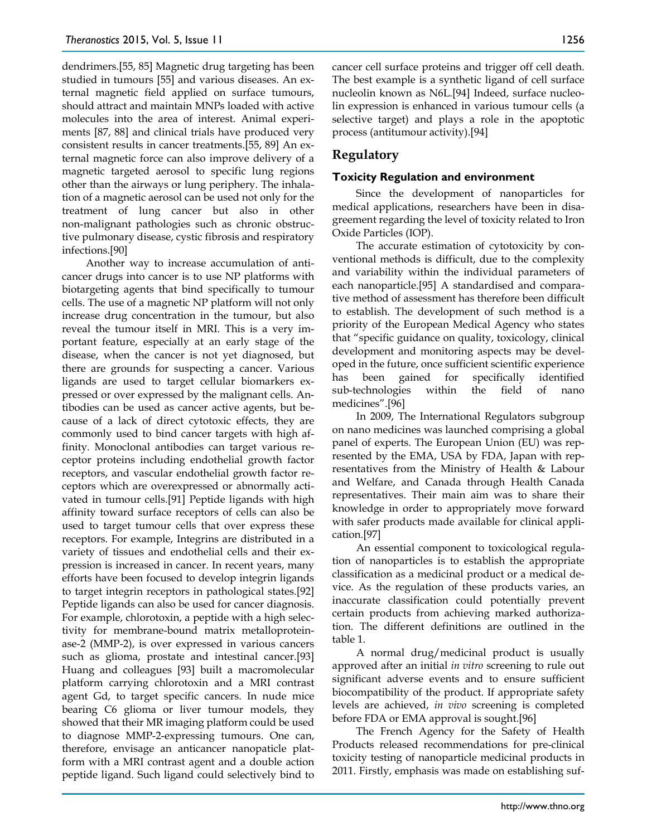dendrimers.[55, 85] Magnetic drug targeting has been studied in tumours [55] and various diseases. An external magnetic field applied on surface tumours, should attract and maintain MNPs loaded with active molecules into the area of interest. Animal experiments [87, 88] and clinical trials have produced very consistent results in cancer treatments.[55, 89] An external magnetic force can also improve delivery of a magnetic targeted aerosol to specific lung regions other than the airways or lung periphery. The inhalation of a magnetic aerosol can be used not only for the treatment of lung cancer but also in other non-malignant pathologies such as chronic obstructive pulmonary disease, cystic fibrosis and respiratory infections.[90]

Another way to increase accumulation of anticancer drugs into cancer is to use NP platforms with biotargeting agents that bind specifically to tumour cells. The use of a magnetic NP platform will not only increase drug concentration in the tumour, but also reveal the tumour itself in MRI. This is a very important feature, especially at an early stage of the disease, when the cancer is not yet diagnosed, but there are grounds for suspecting a cancer. Various ligands are used to target cellular biomarkers expressed or over expressed by the malignant cells. Antibodies can be used as cancer active agents, but because of a lack of direct cytotoxic effects, they are commonly used to bind cancer targets with high affinity. Monoclonal antibodies can target various receptor proteins including endothelial growth factor receptors, and vascular endothelial growth factor receptors which are overexpressed or abnormally activated in tumour cells.[91] Peptide ligands with high affinity toward surface receptors of cells can also be used to target tumour cells that over express these receptors. For example, Integrins are distributed in a variety of tissues and endothelial cells and their expression is increased in cancer. In recent years, many efforts have been focused to develop integrin ligands to target integrin receptors in pathological states.[92] Peptide ligands can also be used for cancer diagnosis. For example, chlorotoxin, a peptide with a high selectivity for membrane-bound matrix metalloproteinase-2 (MMP-2), is over expressed in various cancers such as glioma, prostate and intestinal cancer.[93] Huang and colleagues [93] built a macromolecular platform carrying chlorotoxin and a MRI contrast agent Gd, to target specific cancers. In nude mice bearing C6 glioma or liver tumour models, they showed that their MR imaging platform could be used to diagnose MMP-2-expressing tumours. One can, therefore, envisage an anticancer nanopaticle platform with a MRI contrast agent and a double action peptide ligand. Such ligand could selectively bind to

cancer cell surface proteins and trigger off cell death. The best example is a synthetic ligand of cell surface nucleolin known as N6L.[94] Indeed, surface nucleolin expression is enhanced in various tumour cells (a selective target) and plays a role in the apoptotic process (antitumour activity).[94]

## **Regulatory**

### **Toxicity Regulation and environment**

Since the development of nanoparticles for medical applications, researchers have been in disagreement regarding the level of toxicity related to Iron Oxide Particles (IOP).

The accurate estimation of cytotoxicity by conventional methods is difficult, due to the complexity and variability within the individual parameters of each nanoparticle.[95] A standardised and comparative method of assessment has therefore been difficult to establish. The development of such method is a priority of the European Medical Agency who states that "specific guidance on quality, toxicology, clinical development and monitoring aspects may be developed in the future, once sufficient scientific experience has been gained for specifically identified sub-technologies within the field of nano medicines".[96]

In 2009, The International Regulators subgroup on nano medicines was launched comprising a global panel of experts. The European Union (EU) was represented by the EMA, USA by FDA, Japan with representatives from the Ministry of Health & Labour and Welfare, and Canada through Health Canada representatives. Their main aim was to share their knowledge in order to appropriately move forward with safer products made available for clinical application.[97]

An essential component to toxicological regulation of nanoparticles is to establish the appropriate classification as a medicinal product or a medical device. As the regulation of these products varies, an inaccurate classification could potentially prevent certain products from achieving marked authorization. The different definitions are outlined in the table 1.

A normal drug/medicinal product is usually approved after an initial *in vitro* screening to rule out significant adverse events and to ensure sufficient biocompatibility of the product. If appropriate safety levels are achieved, *in vivo* screening is completed before FDA or EMA approval is sought.[96]

The French Agency for the Safety of Health Products released recommendations for pre-clinical toxicity testing of nanoparticle medicinal products in 2011. Firstly, emphasis was made on establishing suf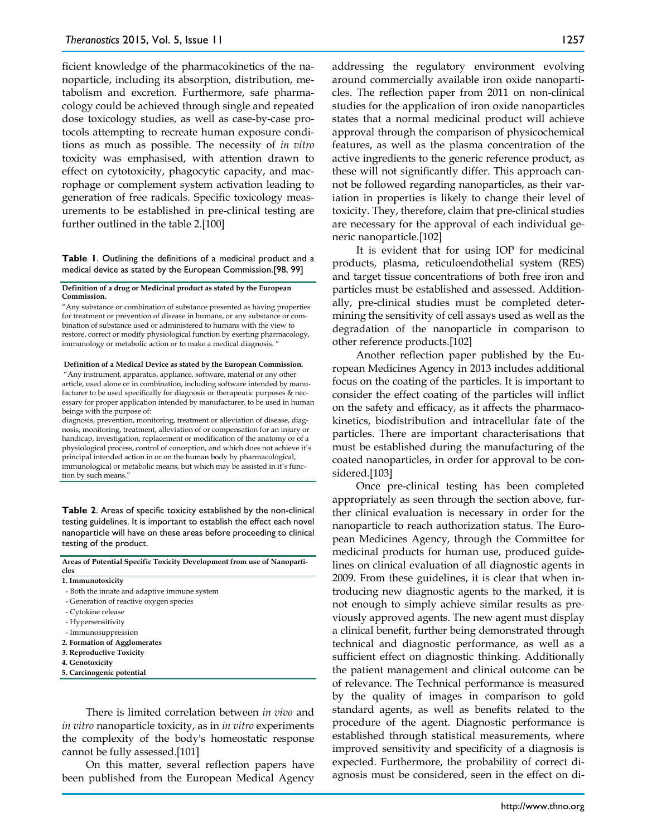ficient knowledge of the pharmacokinetics of the nanoparticle, including its absorption, distribution, metabolism and excretion. Furthermore, safe pharmacology could be achieved through single and repeated dose toxicology studies, as well as case-by-case protocols attempting to recreate human exposure conditions as much as possible. The necessity of *in vitro* toxicity was emphasised, with attention drawn to effect on cytotoxicity, phagocytic capacity, and macrophage or complement system activation leading to generation of free radicals. Specific toxicology measurements to be established in pre-clinical testing are further outlined in the table 2.[100]

#### **Table 1**. Outlining the definitions of a medicinal product and a medical device as stated by the European Commission.[98, 99]

**Definition of a drug or Medicinal product as stated by the European Commission.**

"Any substance or combination of substance presented as having properties for treatment or prevention of disease in humans, or any substance or combination of substance used or administered to humans with the view to restore, correct or modify physiological function by exerting pharmacology, immunology or metabolic action or to make a medical diagnosis. "

**Definition of a Medical Device as stated by the European Commission.**

"Any instrument, apparatus, appliance, software, material or any other article, used alone or in combination, including software intended by manufacturer to be used specifically for diagnosis or therapeutic purposes & necessary for proper application intended by manufacturer, to be used in human beings with the purpose of:

diagnosis, prevention, monitoring, treatment or alleviation of disease, diagnosis, monitoring, treatment, alleviation of or compensation for an injury or handicap, investigation, replacement or modification of the anatomy or of a physiological process, control of conception, and which does not achieve it`s principal intended action in or on the human body by pharmacological, immunological or metabolic means, but which may be assisted in it`s function by such means."

**Table 2**. Areas of specific toxicity established by the non-clinical testing guidelines. It is important to establish the effect each novel nanoparticle will have on these areas before proceeding to clinical testing of the product.

| Areas of Potential Specific Toxicity Development from use of Nanoparti-<br>cles |
|---------------------------------------------------------------------------------|
| 1. Immunotoxicity                                                               |
| - Both the innate and adaptive immune system                                    |
| - Generation of reactive oxygen species                                         |

- Cytokine release
- Hypersensitivity
- Immunosuppression
- **2. Formation of Agglomerates**
- **3. Reproductive Toxicity**
- **4. Genotoxicity**
- **5. Carcinogenic potential**

There is limited correlation between *in vivo* and *in vitro* nanoparticle toxicity, as in *in vitro* experiments the complexity of the body's homeostatic response cannot be fully assessed.[101]

On this matter, several reflection papers have been published from the European Medical Agency

addressing the regulatory environment evolving around commercially available iron oxide nanoparticles. The reflection paper from 2011 on non-clinical studies for the application of iron oxide nanoparticles states that a normal medicinal product will achieve approval through the comparison of physicochemical features, as well as the plasma concentration of the active ingredients to the generic reference product, as these will not significantly differ. This approach cannot be followed regarding nanoparticles, as their variation in properties is likely to change their level of toxicity. They, therefore, claim that pre-clinical studies are necessary for the approval of each individual generic nanoparticle.[102]

It is evident that for using IOP for medicinal products, plasma, reticuloendothelial system (RES) and target tissue concentrations of both free iron and particles must be established and assessed. Additionally, pre-clinical studies must be completed determining the sensitivity of cell assays used as well as the degradation of the nanoparticle in comparison to other reference products.[102]

Another reflection paper published by the European Medicines Agency in 2013 includes additional focus on the coating of the particles. It is important to consider the effect coating of the particles will inflict on the safety and efficacy, as it affects the pharmacokinetics, biodistribution and intracellular fate of the particles. There are important characterisations that must be established during the manufacturing of the coated nanoparticles, in order for approval to be considered.[103]

Once pre-clinical testing has been completed appropriately as seen through the section above, further clinical evaluation is necessary in order for the nanoparticle to reach authorization status. The European Medicines Agency, through the Committee for medicinal products for human use, produced guidelines on clinical evaluation of all diagnostic agents in 2009. From these guidelines, it is clear that when introducing new diagnostic agents to the marked, it is not enough to simply achieve similar results as previously approved agents. The new agent must display a clinical benefit, further being demonstrated through technical and diagnostic performance, as well as a sufficient effect on diagnostic thinking. Additionally the patient management and clinical outcome can be of relevance. The Technical performance is measured by the quality of images in comparison to gold standard agents, as well as benefits related to the procedure of the agent. Diagnostic performance is established through statistical measurements, where improved sensitivity and specificity of a diagnosis is expected. Furthermore, the probability of correct diagnosis must be considered, seen in the effect on di-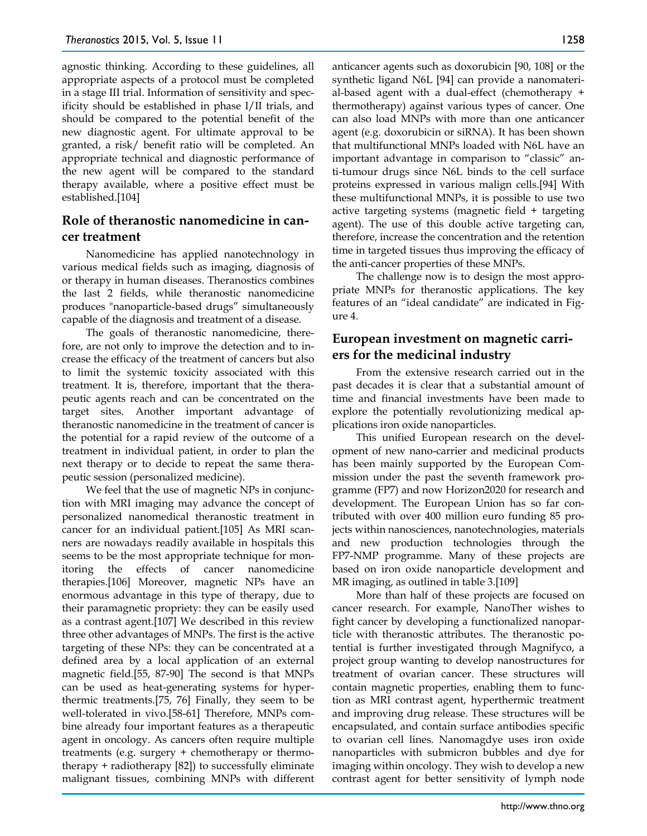agnostic thinking. According to these guidelines, all appropriate aspects of a protocol must be completed in a stage III trial. Information of sensitivity and specificity should be established in phase I/II trials, and should be compared to the potential benefit of the new diagnostic agent. For ultimate approval to be granted, a risk/ benefit ratio will be completed. An appropriate technical and diagnostic performance of the new agent will be compared to the standard therapy available, where a positive effect must be established.[104]

# **Role of theranostic nanomedicine in cancer treatment**

Nanomedicine has applied nanotechnology in various medical fields such as imaging, diagnosis of or therapy in human diseases. Theranostics combines the last 2 fields, while theranostic nanomedicine produces "nanoparticle-based drugs" simultaneously capable of the diagnosis and treatment of a disease.

The goals of theranostic nanomedicine, therefore, are not only to improve the detection and to increase the efficacy of the treatment of cancers but also to limit the systemic toxicity associated with this treatment. It is, therefore, important that the therapeutic agents reach and can be concentrated on the target sites. Another important advantage of theranostic nanomedicine in the treatment of cancer is the potential for a rapid review of the outcome of a treatment in individual patient, in order to plan the next therapy or to decide to repeat the same therapeutic session (personalized medicine).

We feel that the use of magnetic NPs in conjunction with MRI imaging may advance the concept of personalized nanomedical theranostic treatment in cancer for an individual patient.[105] As MRI scanners are nowadays readily available in hospitals this seems to be the most appropriate technique for monitoring the effects of cancer nanomedicine therapies.[106] Moreover, magnetic NPs have an enormous advantage in this type of therapy, due to their paramagnetic propriety: they can be easily used as a contrast agent.[107] We described in this review three other advantages of MNPs. The first is the active targeting of these NPs: they can be concentrated at a defined area by a local application of an external magnetic field.[55, 87-90] The second is that MNPs can be used as heat-generating systems for hyperthermic treatments.[75, 76] Finally, they seem to be well-tolerated in vivo.[58-61] Therefore, MNPs combine already four important features as a therapeutic agent in oncology. As cancers often require multiple treatments (e.g. surgery + chemotherapy or thermotherapy + radiotherapy [82]) to successfully eliminate malignant tissues, combining MNPs with different

anticancer agents such as doxorubicin [90, 108] or the synthetic ligand N6L [94] can provide a nanomaterial-based agent with a dual-effect (chemotherapy + thermotherapy) against various types of cancer. One can also load MNPs with more than one anticancer agent (e.g. doxorubicin or siRNA). It has been shown that multifunctional MNPs loaded with N6L have an important advantage in comparison to "classic" anti-tumour drugs since N6L binds to the cell surface proteins expressed in various malign cells.[94] With these multifunctional MNPs, it is possible to use two active targeting systems (magnetic field + targeting agent). The use of this double active targeting can, therefore, increase the concentration and the retention time in targeted tissues thus improving the efficacy of the anti-cancer properties of these MNPs.

The challenge now is to design the most appropriate MNPs for theranostic applications. The key features of an "ideal candidate" are indicated in Figure 4.

# **European investment on magnetic carriers for the medicinal industry**

From the extensive research carried out in the past decades it is clear that a substantial amount of time and financial investments have been made to explore the potentially revolutionizing medical applications iron oxide nanoparticles.

This unified European research on the development of new nano-carrier and medicinal products has been mainly supported by the European Commission under the past the seventh framework programme (FP7) and now Horizon2020 for research and development. The European Union has so far contributed with over 400 million euro funding 85 projects within nanosciences, nanotechnologies, materials and new production technologies through the FP7-NMP programme. Many of these projects are based on iron oxide nanoparticle development and MR imaging, as outlined in table 3.[109]

More than half of these projects are focused on cancer research. For example, NanoTher wishes to fight cancer by developing a functionalized nanoparticle with theranostic attributes. The theranostic potential is further investigated through Magnifyco, a project group wanting to develop nanostructures for treatment of ovarian cancer. These structures will contain magnetic properties, enabling them to function as MRI contrast agent, hyperthermic treatment and improving drug release. These structures will be encapsulated, and contain surface antibodies specific to ovarian cell lines. Nanomagdye uses iron oxide nanoparticles with submicron bubbles and dye for imaging within oncology. They wish to develop a new contrast agent for better sensitivity of lymph node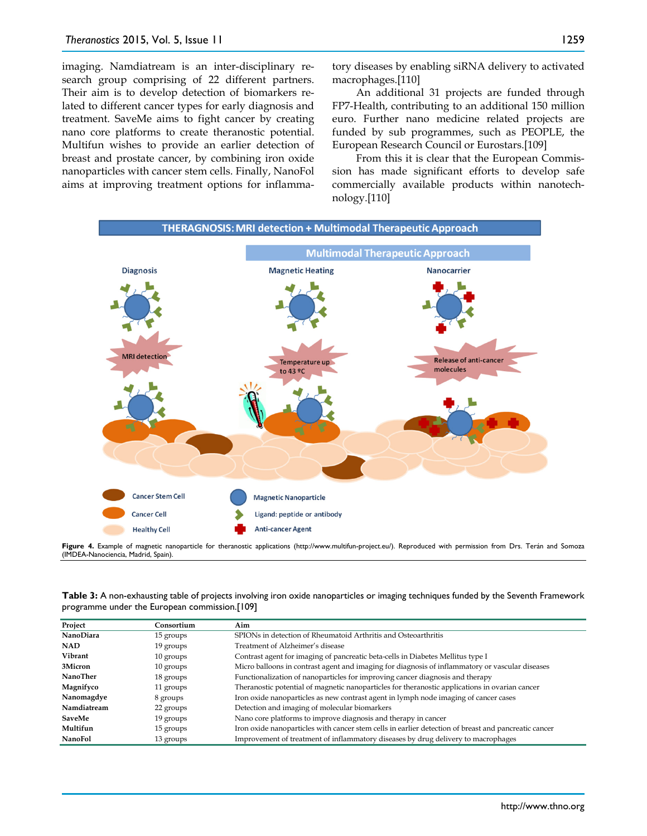imaging. Namdiatream is an inter-disciplinary research group comprising of 22 different partners. Their aim is to develop detection of biomarkers related to different cancer types for early diagnosis and treatment. SaveMe aims to fight cancer by creating nano core platforms to create theranostic potential. Multifun wishes to provide an earlier detection of breast and prostate cancer, by combining iron oxide nanoparticles with cancer stem cells. Finally, NanoFol aims at improving treatment options for inflammatory diseases by enabling siRNA delivery to activated macrophages.[110]

An additional 31 projects are funded through FP7-Health, contributing to an additional 150 million euro. Further nano medicine related projects are funded by sub programmes, such as PEOPLE, the European Research Council or Eurostars.[109]

From this it is clear that the European Commission has made significant efforts to develop safe commercially available products within nanotechnology.[110]



Figure 4. Example of magnetic nanoparticle for theranostic applications (http://www.multifun-project.eu/). Reproduced with permission from Drs. Terán and Somoza (IMDEA-Nanociencia, Madrid, Spain).

| Table 3: A non-exhausting table of projects involving iron oxide nanoparticles or imaging techniques funded by the Seventh Framework |  |  |
|--------------------------------------------------------------------------------------------------------------------------------------|--|--|
| programme under the European commission.[109]                                                                                        |  |  |

| Project        | Consortium | Aim                                                                                                  |
|----------------|------------|------------------------------------------------------------------------------------------------------|
| NanoDiara      | 15 groups  | SPIONs in detection of Rheumatoid Arthritis and Osteoarthritis                                       |
| <b>NAD</b>     | 19 groups  | Treatment of Alzheimer's disease                                                                     |
| Vibrant        | 10 groups  | Contrast agent for imaging of pancreatic beta-cells in Diabetes Mellitus type I                      |
| 3Micron        | 10 groups  | Micro balloons in contrast agent and imaging for diagnosis of inflammatory or vascular diseases      |
| NanoTher       | 18 groups  | Functionalization of nanoparticles for improving cancer diagnosis and therapy                        |
| Magnifyco      | 11 groups  | Theranostic potential of magnetic nanoparticles for theranostic applications in ovarian cancer       |
| Nanomagdye     | 8 groups   | Iron oxide nanoparticles as new contrast agent in lymph node imaging of cancer cases                 |
| Namdiatream    | 22 groups  | Detection and imaging of molecular biomarkers                                                        |
| SaveMe         | 19 groups  | Nano core platforms to improve diagnosis and therapy in cancer                                       |
| Multifun       | 15 groups  | Iron oxide nanoparticles with cancer stem cells in earlier detection of breast and pancreatic cancer |
| <b>NanoFol</b> | 13 groups  | Improvement of treatment of inflammatory diseases by drug delivery to macrophages                    |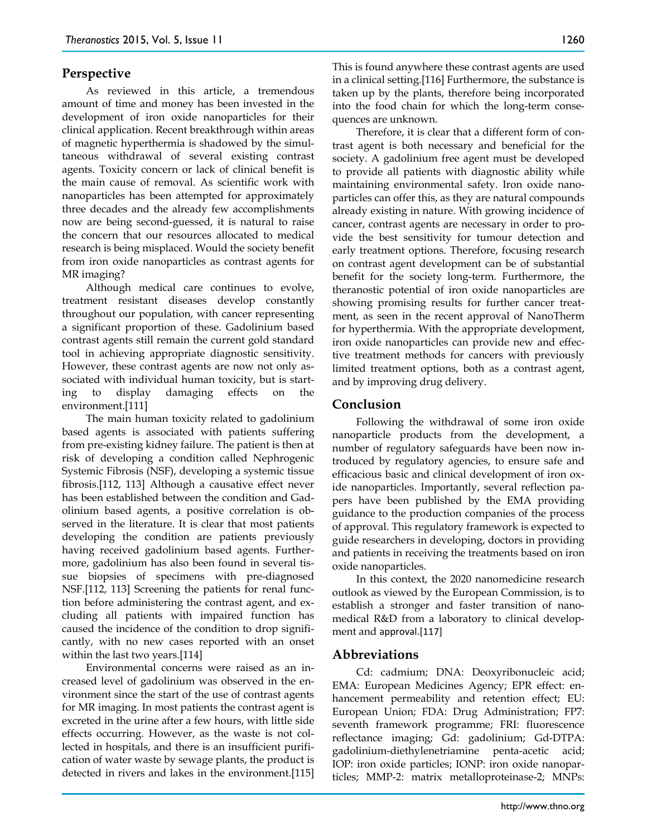## **Perspective**

As reviewed in this article, a tremendous amount of time and money has been invested in the development of iron oxide nanoparticles for their clinical application. Recent breakthrough within areas of magnetic hyperthermia is shadowed by the simultaneous withdrawal of several existing contrast agents. Toxicity concern or lack of clinical benefit is the main cause of removal. As scientific work with nanoparticles has been attempted for approximately three decades and the already few accomplishments now are being second-guessed, it is natural to raise the concern that our resources allocated to medical research is being misplaced. Would the society benefit from iron oxide nanoparticles as contrast agents for MR imaging?

Although medical care continues to evolve, treatment resistant diseases develop constantly throughout our population, with cancer representing a significant proportion of these. Gadolinium based contrast agents still remain the current gold standard tool in achieving appropriate diagnostic sensitivity. However, these contrast agents are now not only associated with individual human toxicity, but is starting to display damaging effects on the environment.[111]

The main human toxicity related to gadolinium based agents is associated with patients suffering from pre-existing kidney failure. The patient is then at risk of developing a condition called Nephrogenic Systemic Fibrosis (NSF), developing a systemic tissue fibrosis.[112, 113] Although a causative effect never has been established between the condition and Gadolinium based agents, a positive correlation is observed in the literature. It is clear that most patients developing the condition are patients previously having received gadolinium based agents. Furthermore, gadolinium has also been found in several tissue biopsies of specimens with pre-diagnosed NSF.[112, 113] Screening the patients for renal function before administering the contrast agent, and excluding all patients with impaired function has caused the incidence of the condition to drop significantly, with no new cases reported with an onset within the last two years.[114]

Environmental concerns were raised as an increased level of gadolinium was observed in the environment since the start of the use of contrast agents for MR imaging. In most patients the contrast agent is excreted in the urine after a few hours, with little side effects occurring. However, as the waste is not collected in hospitals, and there is an insufficient purification of water waste by sewage plants, the product is detected in rivers and lakes in the environment.[115] This is found anywhere these contrast agents are used in a clinical setting.[116] Furthermore, the substance is taken up by the plants, therefore being incorporated into the food chain for which the long-term consequences are unknown.

Therefore, it is clear that a different form of contrast agent is both necessary and beneficial for the society. A gadolinium free agent must be developed to provide all patients with diagnostic ability while maintaining environmental safety. Iron oxide nanoparticles can offer this, as they are natural compounds already existing in nature. With growing incidence of cancer, contrast agents are necessary in order to provide the best sensitivity for tumour detection and early treatment options. Therefore, focusing research on contrast agent development can be of substantial benefit for the society long-term. Furthermore, the theranostic potential of iron oxide nanoparticles are showing promising results for further cancer treatment, as seen in the recent approval of NanoTherm for hyperthermia. With the appropriate development, iron oxide nanoparticles can provide new and effective treatment methods for cancers with previously limited treatment options, both as a contrast agent, and by improving drug delivery.

## **Conclusion**

Following the withdrawal of some iron oxide nanoparticle products from the development, a number of regulatory safeguards have been now introduced by regulatory agencies, to ensure safe and efficacious basic and clinical development of iron oxide nanoparticles. Importantly, several reflection papers have been published by the EMA providing guidance to the production companies of the process of approval. This regulatory framework is expected to guide researchers in developing, doctors in providing and patients in receiving the treatments based on iron oxide nanoparticles.

In this context, the 2020 nanomedicine research outlook as viewed by the European Commission, is to establish a stronger and faster transition of nanomedical R&D from a laboratory to clinical development and approval.[117]

## **Abbreviations**

Cd: cadmium; DNA: Deoxyribonucleic acid; EMA: European Medicines Agency; EPR effect: enhancement permeability and retention effect; EU: European Union; FDA: Drug Administration; FP7: seventh framework programme; FRI: fluorescence reflectance imaging; Gd: gadolinium; Gd-DTPA: gadolinium-diethylenetriamine penta-acetic acid; IOP: iron oxide particles; IONP: iron oxide nanoparticles; MMP-2: matrix metalloproteinase-2; MNPs: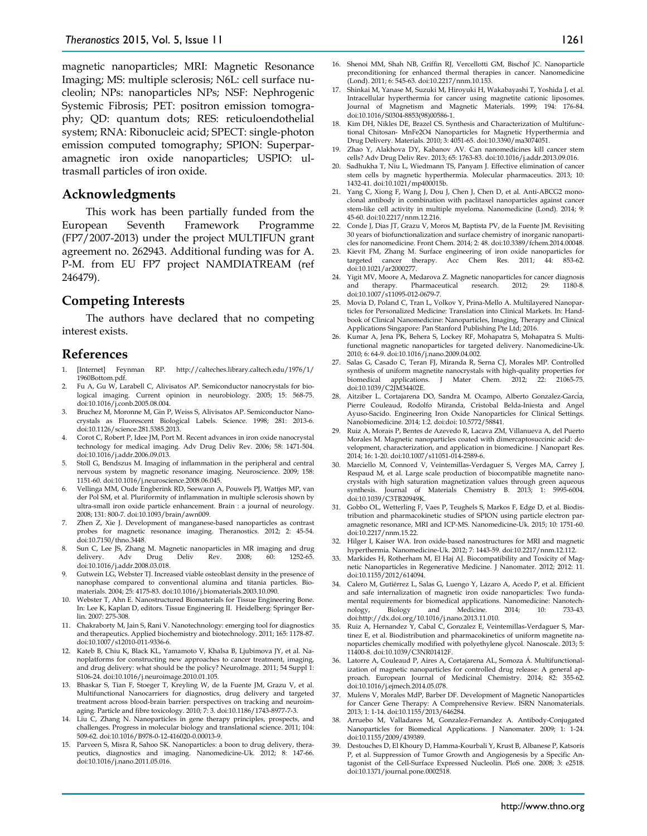magnetic nanoparticles; MRI: Magnetic Resonance Imaging; MS: multiple sclerosis; N6L: cell surface nucleolin; NPs: nanoparticles NPs; NSF: Nephrogenic Systemic Fibrosis; PET: positron emission tomography; QD: quantum dots; RES: reticuloendothelial system; RNA: Ribonucleic acid; SPECT: single-photon emission computed tomography; SPION: Superparamagnetic iron oxide nanoparticles; USPIO: ultrasmall particles of iron oxide.

## **Acknowledgments**

This work has been partially funded from the European Seventh Framework Programme (FP7/2007-2013) under the project MULTIFUN grant agreement no. 262943. Additional funding was for A. P-M. from EU FP7 project NAMDIATREAM (ref 246479).

## **Competing Interests**

The authors have declared that no competing interest exists.

## **References**

- 1. [Internet] Feynman RP. http://calteches.library.caltech.edu/1976/1/ 1960Bottom.pdf.
- Fu A, Gu W, Larabell C, Alivisatos AP. Semiconductor nanocrystals for biological imaging. Current opinion in neurobiology. 2005; 15: 568-75. doi:10.1016/j.conb.2005.08.004.
- 3. Bruchez M, Moronne M, Gin P, Weiss S, Alivisatos AP. Semiconductor Nanocrystals as Fluorescent Biological Labels. Science. 1998; 281: 2013-6. doi:10.1126/science.281.5385.2013.
- 4. Corot C, Robert P, Idee JM, Port M. Recent advances in iron oxide nanocrystal technology for medical imaging. Adv Drug Deliv Rev. 2006; 58: 1471-504. doi:10.1016/j.addr.2006.09.013.
- 5. Stoll G, Bendszus M. Imaging of inflammation in the peripheral and central nervous system by magnetic resonance imaging. Neuroscience. 2009; 158: 1151-60. doi:10.1016/j.neuroscience.2008.06.045.
- 6. Vellinga MM, Oude Engberink RD, Seewann A, Pouwels PJ, Wattjes MP, van der Pol SM, et al. Pluriformity of inflammation in multiple sclerosis shown by ultra-small iron oxide particle enhancement. Brain : a journal of neurology. 2008; 131: 800-7. doi:10.1093/brain/awn009.
- 7. Zhen Z, Xie J. Development of manganese-based nanoparticles as contrast probes for magnetic resonance imaging. Theranostics. 2012; 2: 45-54. doi:10.7150/thno.3448.
- 8. Sun C, Lee JS, Zhang M. Magnetic nanoparticles in MR imaging and drug delivery. Adv Drug Deliv Rev. 2008; 60: 1252-65. doi:10.1016/j.addr.2008.03.018.
- Gutwein LG, Webster TJ. Increased viable osteoblast density in the presence of nanophase compared to conventional alumina and titania particles. Biomaterials. 2004; 25: 4175-83. doi:10.1016/j.biomaterials.2003.10.090.
- 10. Webster T, Ahn E. Nanostructured Biomaterials for Tissue Engineering Bone. In: Lee K, Kaplan D, editors. Tissue Engineering II. Heidelberg: Springer Berlin. 2007: 275-308.
- 11. Chakraborty M, Jain S, Rani V. Nanotechnology: emerging tool for diagnostics and therapeutics. Applied biochemistry and biotechnology. 2011; 165: 1178-87. doi:10.1007/s12010-011-9336-6.
- 12. Kateb B, Chiu K, Black KL, Yamamoto V, Khalsa B, Ljubimova JY, et al. Nanoplatforms for constructing new approaches to cancer treatment, imaging, and drug delivery: what should be the policy? NeuroImage. 2011; 54 Suppl 1: S106-24. doi:10.1016/j.neuroimage.2010.01.105.
- 13. Bhaskar S, Tian F, Stoeger T, Kreyling W, de la Fuente JM, Grazu V, et al. Multifunctional Nanocarriers for diagnostics, drug delivery and targeted treatment across blood-brain barrier: perspectives on tracking and neuroimaging. Particle and fibre toxicology. 2010; 7: 3. doi:10.1186/1743-8977-7-3.
- 14. Liu C, Zhang N. Nanoparticles in gene therapy principles, prospects, and challenges. Progress in molecular biology and translational science. 2011; 104: 509-62. doi:10.1016/B978-0-12-416020-0.00013-9.
- 15. Parveen S, Misra R, Sahoo SK. Nanoparticles: a boon to drug delivery, therapeutics, diagnostics and imaging. Nanomedicine-Uk. 2012; 8: 147-66. doi:10.1016/j.nano.2011.05.016.
- 16. Shenoi MM, Shah NB, Griffin RJ, Vercellotti GM, Bischof JC. Nanoparticle preconditioning for enhanced thermal therapies in cancer. Nanomedicine (Lond). 2011; 6: 545-63. doi:10.2217/nnm.10.153.
- 17. Shinkai M, Yanase M, Suzuki M, Hiroyuki H, Wakabayashi T, Yoshida J, et al. Intracellular hyperthermia for cancer using magnetite cationic liposomes. Journal of Magnetism and Magnetic Materials. 1999; 194: 176-84. doi:10.1016/S0304-8853(98)00586-1.
- 18. Kim DH, Nikles DE, Brazel CS. Synthesis and Characterization of Multifunctional Chitosan- MnFe2O4 Nanoparticles for Magnetic Hyperthermia and Drug Delivery. Materials. 2010; 3: 4051-65. doi:10.3390/ma3074051.
- 19. Zhao Y, Alakhova DY, Kabanov AV. Can nanomedicines kill cancer stem cells? Adv Drug Deliv Rev. 2013; 65: 1763-83. doi:10.1016/j.addr.2013.09.016.
- 20. Sadhukha T, Niu L, Wiedmann TS, Panyam J. Effective elimination of cancer stem cells by magnetic hyperthermia. Molecular pharmaceutics. 2013; 10: 1432-41. doi:10.1021/mp400015b.
- 21. Yang C, Xiong F, Wang J, Dou J, Chen J, Chen D, et al. Anti-ABCG2 monoclonal antibody in combination with paclitaxel nanoparticles against cancer stem-like cell activity in multiple myeloma. Nanomedicine (Lond). 2014; 9: 45-60. doi:10.2217/nnm.12.216.
- 22. Conde J, Dias JT, Grazu V, Moros M, Baptista PV, de la Fuente JM. Revisiting 30 years of biofunctionalization and surface chemistry of inorganic nanoparticles for nanomedicine. Front Chem. 2014; 2: 48. doi:10.3389/fchem.2014.00048.
- 23. Kievit FM, Zhang M. Surface engineering of iron oxide nanoparticles for targeted cancer therapy. Acc Chem Res. 2011; 44: 853-62. doi:10.1021/ar2000277.
- 24. Yigit MV, Moore A, Medarova Z. Magnetic nanoparticles for cancer diagnosis and therapy. Pharmaceutical research. 2012; 29: 1180-8. and therapy. Pharmaceutical doi:10.1007/s11095-012-0679-7.
- 25. Movia D, Poland C, Tran L, Volkov Y, Prina-Mello A. Multilayered Nanoparticles for Personalized Medicine: Translation into Clinical Markets. In: Handbook of Clinical Nanomedicine: Nanoparticles, Imaging, Therapy and Clinical Applications Singapore: Pan Stanford Publishing Pte Ltd; 2016.
- 26. Kumar A, Jena PK, Behera S, Lockey RF, Mohapatra S, Mohapatra S. Multifunctional magnetic nanoparticles for targeted delivery. Nanomedicine-Uk. 2010; 6: 64-9. doi:10.1016/j.nano.2009.04.002.
- 27. Salas G, Casado C, Teran FJ, Miranda R, Serna CJ, Morales MP. Controlled synthesis of uniform magnetite nanocrystals with high-quality properties for biomedical applications. J Mater Chem. 2012; 22: 21065-75. biomedical applications. doi:10.1039/C2JM34402E.
- 28. Aitziber L. Cortajarena DO, Sandra M. Ocampo, Alberto Gonzalez-García, Pierre Couleaud, Rodolfo Miranda, Cristobal Belda-Iniesta and Angel Ayuso-Sacido. Engineering Iron Oxide Nanoparticles for Clinical Settings. Nanobiomedicine. 2014; 1:2. doi:doi: 10.5772/58841.
- 29. Ruiz A, Morais P, Bentes de Azevedo R, Lacava ZM, Villanueva A, del Puerto Morales M. Magnetic nanoparticles coated with dimercaptosuccinic acid: development, characterization, and application in biomedicine. J Nanopart Res. 2014; 16: 1-20. doi:10.1007/s11051-014-2589-6.
- 30. Marciello M, Connord V, Veintemillas-Verdaguer S, Verges MA, Carrey J, Respaud M, et al. Large scale production of biocompatible magnetite nanocrystals with high saturation magnetization values through green aqueous synthesis. Journal of Materials Chemistry B. 2013; 1: 5995-6004. doi:10.1039/C3TB20949K.
- 31. Gobbo OL, Wetterling F, Vaes P, Teughels S, Markos F, Edge D, et al. Biodistribution and pharmacokinetic studies of SPION using particle electron paramagnetic resonance, MRI and ICP-MS. Nanomedicine-Uk. 2015; 10: 1751-60. doi:10.2217/nnm.15.22.
- 32. Hilger I, Kaiser WA. Iron oxide-based nanostructures for MRI and magnetic hyperthermia. Nanomedicine-Uk. 2012; 7: 1443-59. doi:10.2217/nnm.12.112.
- 33. Markides H, Rotherham M, El Haj AJ. Biocompatibility and Toxicity of Magnetic Nanoparticles in Regenerative Medicine. J Nanomater. 2012; 2012: 11. doi:10.1155/2012/614094.
- 34. Calero M, Gutiérrez L, Salas G, Luengo Y, Lázaro A, Acedo P, et al. Efficient and safe internalization of magnetic iron oxide nanoparticles: Two fundamental requirements for biomedical applications. Nanomedicine: Nanotechnology, Biology and Medicine. 2014; 10: 733-43. doi:http://dx.doi.org/10.1016/j.nano.2013.11.010.
- 35. Ruiz A, Hernandez Y, Cabal C, Gonzalez E, Veintemillas-Verdaguer S, Martinez E, et al. Biodistribution and pharmacokinetics of uniform magnetite nanoparticles chemically modified with polyethylene glycol. Nanoscale. 2013; 5: 11400-8. doi:10.1039/C3NR01412F.
- 36. Latorre A, Couleaud P, Aires A, Cortajarena AL, Somoza Á. Multifunctionalization of magnetic nanoparticles for controlled drug release: A general approach. European Journal of Medicinal Chemistry. 2014; 82: 355-62. doi:10.1016/j.ejmech.2014.05.078.
- 37. Mulens V, Morales MdP, Barber DF. Development of Magnetic Nanoparticles for Cancer Gene Therapy: A Comprehensive Review. ISRN Nanomaterials. 2013; 1: 1-14. doi:10.1155/2013/646284.
- 38. Arruebo M, Valladares M, Gonzalez-Fernandez A. Antibody-Conjugated Nanoparticles for Biomedical Applications. J Nanomater. 2009; 1: 1-24. doi:10.1155/2009/439389.
- 39. Destouches D, El Khoury D, Hamma-Kourbali Y, Krust B, Albanese P, Katsoris P, et al. Suppression of Tumor Growth and Angiogenesis by a Specific Antagonist of the Cell-Surface Expressed Nucleolin. PloS one. 2008; 3: e2518. doi:10.1371/journal.pone.0002518.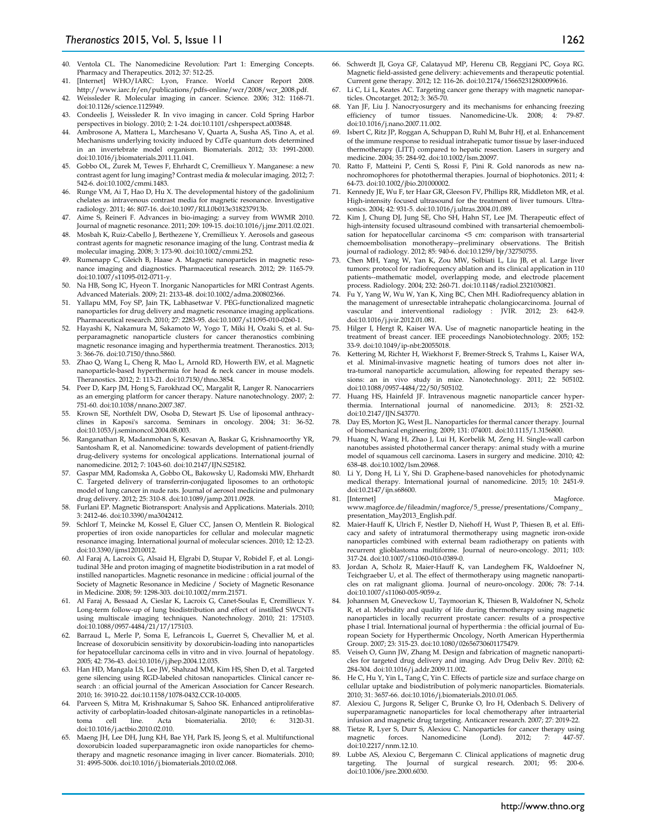- 40. Ventola CL. The Nanomedicine Revolution: Part 1: Emerging Concepts. Pharmacy and Therapeutics. 2012; 37: 512-25.
- 41. [Internet] WHO/IARC: Lyon, France. World Cancer Report 2008. http://www.iarc.fr/en/publications/pdfs-online/wcr/2008/wcr\_2008.pdf.
- 42. Weissleder R. Molecular imaging in cancer. Science. 2006; 312: 1168-71. doi:10.1126/science.1125949.
- 43. Condeelis J, Weissleder R. In vivo imaging in cancer. Cold Spring Harbor perspectives in biology. 2010; 2: 1-24. doi:10.1101/cshperspect.a003848.
- 44. Ambrosone A, Mattera L, Marchesano V, Quarta A, Susha AS, Tino A, et al. Mechanisms underlying toxicity induced by CdTe quantum dots determined in an invertebrate model organism. Biomaterials. 2012; 33: 1991-2000. doi:10.1016/j.biomaterials.2011.11.041.
- 45. Gobbo OL, Zurek M, Tewes F, Ehrhardt C, Cremillieux Y. Manganese: a new contrast agent for lung imaging? Contrast media & molecular imaging. 2012; 7: 542-6. doi:10.1002/cmmi.1483.
- 46. Runge VM, Ai T, Hao D, Hu X. The developmental history of the gadolinium chelates as intravenous contrast media for magnetic resonance. Investigative radiology. 2011; 46: 807-16. doi:10.1097/RLI.0b013e318237913b.
- 47. Aime S, Reineri F. Advances in bio-imaging: a survey from WWMR 2010. Journal of magnetic resonance. 2011; 209: 109-15. doi:10.1016/j.jmr.2011.02.021.
- 48. Mosbah K, Ruiz-Cabello J, Berthezene Y, Cremillieux Y. Aerosols and gaseous contrast agents for magnetic resonance imaging of the lung. Contrast media & molecular imaging. 2008; 3: 173-90. doi:10.1002/cmmi.252.
- 49. Rumenapp C, Gleich B, Haase A. Magnetic nanoparticles in magnetic resonance imaging and diagnostics. Pharmaceutical research. 2012; 29: 1165-79. doi:10.1007/s11095-012-0711-y.
- 50. Na HB, Song IC, Hyeon T. Inorganic Nanoparticles for MRI Contrast Agents. Advanced Materials. 2009; 21: 2133-48. doi:10.1002/adma.200802366.
- 51. Yallapu MM, Foy SP, Jain TK, Labhasetwar V. PEG-functionalized magnetic nanoparticles for drug delivery and magnetic resonance imaging applications. Pharmaceutical research. 2010; 27: 2283-95. doi:10.1007/s11095-010-0260-1.
- 52. Hayashi K, Nakamura M, Sakamoto W, Yogo T, Miki H, Ozaki S, et al. Superparamagnetic nanoparticle clusters for cancer theranostics combining magnetic resonance imaging and hyperthermia treatment. Theranostics. 2013; 3: 366-76. doi:10.7150/thno.5860.
- 53. Zhao Q, Wang L, Cheng R, Mao L, Arnold RD, Howerth EW, et al. Magnetic nanoparticle-based hyperthermia for head & neck cancer in mouse models. Theranostics. 2012; 2: 113-21. doi:10.7150/thno.3854.
- 54. Peer D, Karp JM, Hong S, Farokhzad OC, Margalit R, Langer R. Nanocarriers as an emerging platform for cancer therapy. Nature nanotechnology. 2007; 2: 751-60. doi:10.1038/nnano.2007.387.
- 55. Krown SE, Northfelt DW, Osoba D, Stewart JS. Use of liposomal anthracyclines in Kaposi's sarcoma. Seminars in oncology. 2004; 31: 36-52. doi:10.1053/j.seminoncol.2004.08.003.
- 56. Ranganathan R, Madanmohan S, Kesavan A, Baskar G, Krishnamoorthy YR, Santosham R, et al. Nanomedicine: towards development of patient-friendly drug-delivery systems for oncological applications. International journal of nanomedicine. 2012; 7: 1043-60. doi:10.2147/IJN.S25182.
- 57. Gaspar MM, Radomska A, Gobbo OL, Bakowsky U, Radomski MW, Ehrhardt C. Targeted delivery of transferrin-conjugated liposomes to an orthotopic model of lung cancer in nude rats. Journal of aerosol medicine and pulmonary drug delivery. 2012; 25: 310-8. doi:10.1089/jamp.2011.0928.
- 58. Furlani EP. Magnetic Biotransport: Analysis and Applications. Materials. 2010; 3: 2412-46. doi:10.3390/ma3042412.
- 59. Schlorf T, Meincke M, Kossel E, Gluer CC, Jansen O, Mentlein R. Biological properties of iron oxide nanoparticles for cellular and molecular magnetic resonance imaging. International journal of molecular sciences. 2010; 12: 12-23. doi:10.3390/ijms12010012.
- 60. Al Faraj A, Lacroix G, Alsaid H, Elgrabi D, Stupar V, Robidel F, et al. Longitudinal 3He and proton imaging of magnetite biodistribution in a rat model of instilled nanoparticles. Magnetic resonance in medicine : official journal of the Society of Magnetic Resonance in Medicine / Society of Magnetic Resonance in Medicine. 2008; 59: 1298-303. doi:10.1002/mrm.21571.
- 61. Al Faraj A, Bessaad A, Cieslar K, Lacroix G, Canet-Soulas E, Cremillieux Y. Long-term follow-up of lung biodistribution and effect of instilled SWCNTs using multiscale imaging techniques. Nanotechnology. 2010; 21: 175103. doi:10.1088/0957-4484/21/17/175103.
- 62. Barraud L, Merle P, Soma E, Lefrancois L, Guerret S, Chevallier M, et al. Increase of doxorubicin sensitivity by doxorubicin-loading into nanoparticles for hepatocellular carcinoma cells in vitro and in vivo. Journal of hepatology. 2005; 42: 736-43. doi:10.1016/j.jhep.2004.12.035.
- 63. Han HD, Mangala LS, Lee JW, Shahzad MM, Kim HS, Shen D, et al. Targeted gene silencing using RGD-labeled chitosan nanoparticles. Clinical cancer research : an official journal of the American Association for Cancer Research. 2010; 16: 3910-22. doi:10.1158/1078-0432.CCR-10-0005.
- 64. Parveen S, Mitra M, Krishnakumar S, Sahoo SK. Enhanced antiproliferative activity of carboplatin-loaded chitosan-alginate nanoparticles in a retinoblascell line. Acta biomaterialia. 2010; 6: 3120-31. doi:10.1016/j.actbio.2010.02.010.
- Maeng JH, Lee DH, Jung KH, Bae YH, Park IS, Jeong S, et al. Multifunctional doxorubicin loaded superparamagnetic iron oxide nanoparticles for chemotherapy and magnetic resonance imaging in liver cancer. Biomaterials. 2010; 31: 4995-5006. doi:10.1016/j.biomaterials.2010.02.068.
- 66. Schwerdt JI, Goya GF, Calatayud MP, Herenu CB, Reggiani PC, Goya RG. Magnetic field-assisted gene delivery: achievements and therapeutic potential. Current gene therapy. 2012; 12: 116-26. doi:10.2174/156652312800099616.
- 67. Li C, Li L, Keates AC. Targeting cancer gene therapy with magnetic nanoparticles. Oncotarget. 2012; 3: 365-70.
- 68. Yan JF, Liu J. Nanocryosurgery and its mechanisms for enhancing freezing efficiency of tumor tissues. Nanomedicine-Uk. 2008; 4: 79-87. doi:10.1016/j.nano.2007.11.002.
- 69. Isbert C, Ritz JP, Roggan A, Schuppan D, Ruhl M, Buhr HJ, et al. Enhancement of the immune response to residual intrahepatic tumor tissue by laser-induced thermotherapy (LITT) compared to hepatic resection. Lasers in surgery and medicine. 2004; 35: 284-92. doi:10.1002/lsm.20097.
- 70. Ratto F, Matteini P, Centi S, Rossi F, Pini R. Gold nanorods as new nanochromophores for photothermal therapies. Journal of biophotonics. 2011; 4: 64-73. doi:10.1002/jbio.201000002.
- 71. Kennedy JE, Wu F, ter Haar GR, Gleeson FV, Phillips RR, Middleton MR, et al. High-intensity focused ultrasound for the treatment of liver tumours. Ultrasonics. 2004; 42: 931-5. doi:10.1016/j.ultras.2004.01.089.
- 72. Kim J, Chung DJ, Jung SE, Cho SH, Hahn ST, Lee JM. Therapeutic effect of high-intensity focused ultrasound combined with transarterial chemoembolisation for hepatocellular carcinoma <5 cm: comparison with transarterial chemoembolisation monotherapy--preliminary observations. The British journal of radiology. 2012; 85: 940-6. doi:10.1259/bjr/32750755.
- 73. Chen MH, Yang W, Yan K, Zou MW, Solbiati L, Liu JB, et al. Large liver tumors: protocol for radiofrequency ablation and its clinical application in 110 patients--mathematic model, overlapping mode, and electrode placement process. Radiology. 2004; 232: 260-71. doi:10.1148/radiol.2321030821.
- 74. Fu Y, Yang W, Wu W, Yan K, Xing BC, Chen MH. Radiofrequency ablation in the management of unresectable intrahepatic cholangiocarcinoma. Journal of vascular and interventional radiology : JVIR. 2012; 23: 642-9. doi:10.1016/j.jvir.2012.01.081.
- 75. Hilger I, Hergt R, Kaiser WA. Use of magnetic nanoparticle heating in the treatment of breast cancer. IEE proceedings Nanobiotechnology. 2005; 152: 33-9. doi:10.1049/ip-nbt:20055018.
- 76. Kettering M, Richter H, Wiekhorst F, Bremer-Streck S, Trahms L, Kaiser WA, et al. Minimal-invasive magnetic heating of tumors does not alter intra-tumoral nanoparticle accumulation, allowing for repeated therapy sessions: an in vivo study in mice. Nanotechnology. 2011; 22: 505102. doi:10.1088/0957-4484/22/50/505102.
- 77. Huang HS, Hainfeld JF. Intravenous magnetic nanoparticle cancer hyperthermia. International journal of nanomedicine. 2013; 8: 2521-32. doi:10.2147/IJN.S43770.
- 78. Day ES, Morton JG, West JL. Nanoparticles for thermal cancer therapy. Journal of biomechanical engineering. 2009; 131: 074001. doi:10.1115/1.3156800.
- Huang N, Wang H, Zhao J, Lui H, Korbelik M, Zeng H. Single-wall carbon nanotubes assisted photothermal cancer therapy: animal study with a murine model of squamous cell carcinoma. Lasers in surgery and medicine. 2010; 42: 638-48. doi:10.1002/lsm.20968.
- Li Y, Dong H, Li Y, Shi D. Graphene-based nanovehicles for photodynamic medical therapy. International journal of nanomedicine. 2015; 10: 2451-9. doi:10.2147/ijn.s68600.
- 81. [Internet] Magforce. www.magforce.de/fileadmin/magforce/5\_presse/presentations/Company\_ presentation\_May2013\_English.pdf.
- 82. Maier-Hauff K, Ulrich F, Nestler D, Niehoff H, Wust P, Thiesen B, et al. Efficacy and safety of intratumoral thermotherapy using magnetic iron-oxide nanoparticles combined with external beam radiotherapy on patients with recurrent glioblastoma multiforme. Journal of neuro-oncology. 2011; 103: 317-24. doi:10.1007/s11060-010-0389-0.
- 83. Jordan A, Scholz R, Maier-Hauff K, van Landeghem FK, Waldoefner N, Teichgraeber U, et al. The effect of thermotherapy using magnetic nanoparticles on rat malignant glioma. Journal of neuro-oncology. 2006; 78: 7-14. doi:10.1007/s11060-005-9059-z.
- Johannsen M, Gneveckow U, Taymoorian K, Thiesen B, Waldofner N, Scholz R, et al. Morbidity and quality of life during thermotherapy using magnetic nanoparticles in locally recurrent prostate cancer: results of a prospective phase I trial. International journal of hyperthermia : the official journal of European Society for Hyperthermic Oncology, North American Hyperthermia Group. 2007; 23: 315-23. doi:10.1080/02656730601175479.
- 85. Veiseh O, Gunn JW, Zhang M. Design and fabrication of magnetic nanoparticles for targeted drug delivery and imaging. Adv Drug Deliv Rev. 2010; 62: 284-304. doi:10.1016/j.addr.2009.11.002.
- 86. He C, Hu Y, Yin L, Tang C, Yin C. Effects of particle size and surface charge on cellular uptake and biodistribution of polymeric nanoparticles. Biomaterials. 2010; 31: 3657-66. doi:10.1016/j.biomaterials.2010.01.065.
- 87. Alexiou C, Jurgons R, Seliger C, Brunke O, Iro H, Odenbach S. Delivery of superparamagnetic nanoparticles for local chemotherapy after intraarterial infusion and magnetic drug targeting. Anticancer research. 2007; 27: 2019-22.
- 88. Tietze R, Lyer S, Durr S, Alexiou C. Nanoparticles for cancer therapy using magnetic forces. Nanomedicine (Lond). 2012; 7: 447-57. doi:10.2217/nnm.12.10.
- Lubbe AS, Alexiou C, Bergemann C. Clinical applications of magnetic drug targeting. The Journal of surgical research. 2001; 95: 200-6. doi:10.1006/jsre.2000.6030.